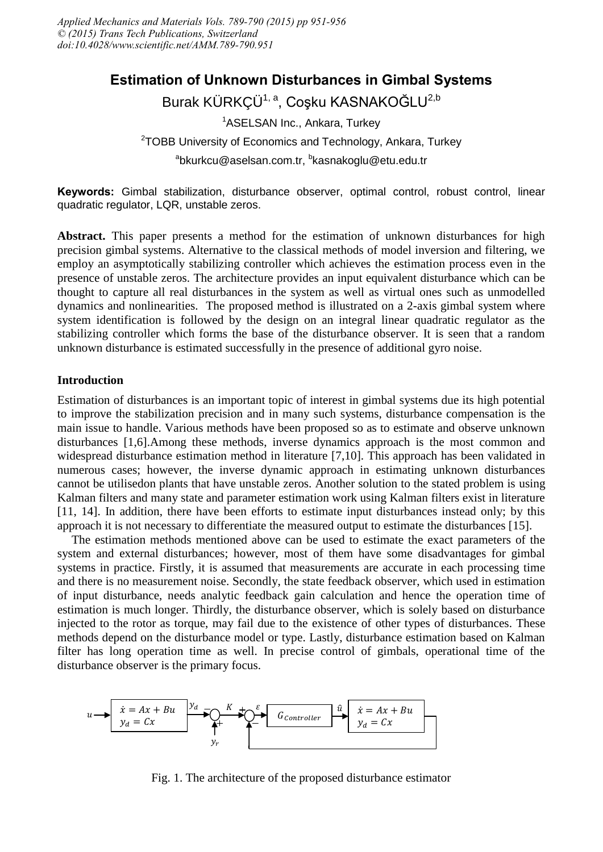# **Estimation of Unknown Disturbances in Gimbal Systems**

Burak KÜRKÇÜ<sup>1, a</sup>, Coşku KASNAKOĞLU<sup>2,b</sup>

<sup>1</sup>ASELSAN Inc., Ankara, Turkey

<sup>2</sup>TOBB University of Economics and Technology, Ankara, Turkey <sup>a</sup>bkurkcu@aselsan.com.tr, <sup>b</sup>kasnakoglu@etu.edu.tr

**Keywords:** Gimbal stabilization, disturbance observer, optimal control, robust control, linear quadratic regulator, LQR, unstable zeros.

**Abstract.** This paper presents a method for the estimation of unknown disturbances for high precision gimbal systems. Alternative to the classical methods of model inversion and filtering, we employ an asymptotically stabilizing controller which achieves the estimation process even in the presence of unstable zeros. The architecture provides an input equivalent disturbance which can be thought to capture all real disturbances in the system as well as virtual ones such as unmodelled dynamics and nonlinearities. The proposed method is illustrated on a 2-axis gimbal system where system identification is followed by the design on an integral linear quadratic regulator as the stabilizing controller which forms the base of the disturbance observer. It is seen that a random unknown disturbance is estimated successfully in the presence of additional gyro noise.

## **Introduction**

Estimation of disturbances is an important topic of interest in gimbal systems due its high potential to improve the stabilization precision and in many such systems, disturbance compensation is the main issue to handle. Various methods have been proposed so as to estimate and observe unknown disturbances [1,6].Among these methods, inverse dynamics approach is the most common and widespread disturbance estimation method in literature [7,10]. This approach has been validated in numerous cases; however, the inverse dynamic approach in estimating unknown disturbances cannot be utilisedon plants that have unstable zeros. Another solution to the stated problem is using Kalman filters and many state and parameter estimation work using Kalman filters exist in literature [11, 14]. In addition, there have been efforts to estimate input disturbances instead only; by this approach it is not necessary to differentiate the measured output to estimate the disturbances [15].

The estimation methods mentioned above can be used to estimate the exact parameters of the system and external disturbances; however, most of them have some disadvantages for gimbal systems in practice. Firstly, it is assumed that measurements are accurate in each processing time and there is no measurement noise. Secondly, the state feedback observer, which used in estimation of input disturbance, needs analytic feedback gain calculation and hence the operation time of estimation is much longer. Thirdly, the disturbance observer, which is solely based on disturbance injected to the rotor as torque, may fail due to the existence of other types of disturbances. These methods depend on the disturbance model or type. Lastly, disturbance estimation based on Kalman filter has long operation time as well. In precise control of gimbals, operational time of the disturbance observer is the primary focus.



Fig. 1. The architecture of the proposed disturbance estimator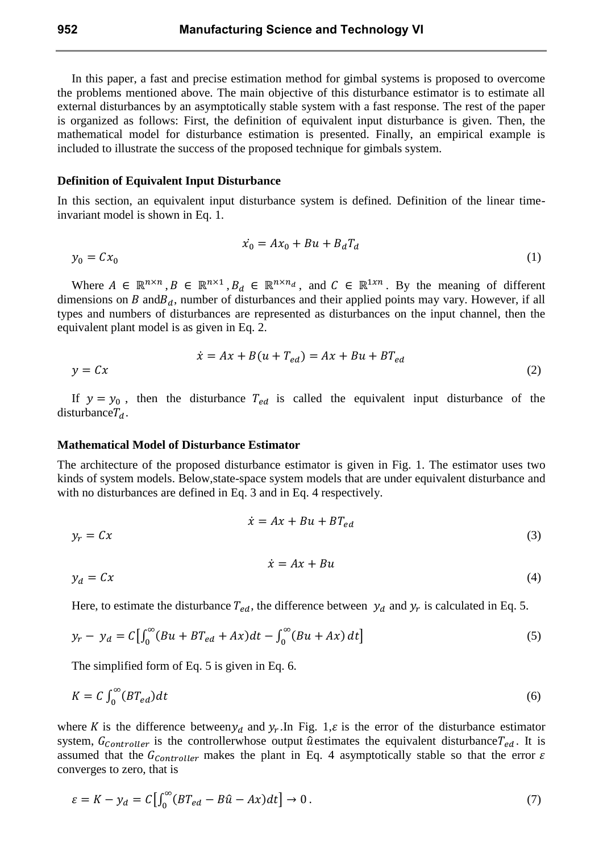In this paper, a fast and precise estimation method for gimbal systems is proposed to overcome the problems mentioned above. The main objective of this disturbance estimator is to estimate all external disturbances by an asymptotically stable system with a fast response. The rest of the paper is organized as follows: First, the definition of equivalent input disturbance is given. Then, the mathematical model for disturbance estimation is presented. Finally, an empirical example is included to illustrate the success of the proposed technique for gimbals system.

#### **Definition of Equivalent Input Disturbance**

In this section, an equivalent input disturbance system is defined. Definition of the linear timeinvariant model is shown in Eq. 1.

$$
\dot{x_0} = Ax_0 + Bu + B_dT_d \tag{1}
$$

Where  $A \in \mathbb{R}^{n \times n}$ ,  $B \in \mathbb{R}^{n \times 1}$ ,  $B_d \in \mathbb{R}^{n \times n_d}$ , and  $C \in \mathbb{R}^{1 \times n}$ . By the meaning of different dimensions on  $B$  and  $B_d$ , number of disturbances and their applied points may vary. However, if all types and numbers of disturbances are represented as disturbances on the input channel, then the equivalent plant model is as given in Eq. 2.

$$
\dot{x} = Ax + B(u + T_{ed}) = Ax + Bu + BT_{ed}
$$
  
(2)

If  $y = y_0$ , then the disturbance  $T_{ed}$  is called the equivalent input disturbance of the disturbance  $T_d$ .

#### **Mathematical Model of Disturbance Estimator**

The architecture of the proposed disturbance estimator is given in Fig. 1. The estimator uses two kinds of system models. Below,state-space system models that are under equivalent disturbance and with no disturbances are defined in Eq. 3 and in Eq. 4 respectively.

$$
\dot{x} = Ax + Bu + BT_{ed}
$$
  
\n
$$
\dot{x} = Ax + Bu
$$
  
\n
$$
\dot{x} = Ax + Bu
$$
  
\n(3)  
\n
$$
\dot{x} = Ax + Bu
$$
  
\n(4)

Here, to estimate the disturbance  $T_{ed}$ , the difference between  $y_d$  and  $y_r$  is calculated in Eq. 5.

$$
y_r - y_d = C \left[ \int_0^{\infty} (Bu + BT_{ed} + Ax) dt - \int_0^{\infty} (Bu + Ax) dt \right]
$$
 (5)

The simplified form of Eq. 5 is given in Eq. 6.

$$
K = C \int_0^\infty (BT_{ed}) dt \tag{6}
$$

where K is the difference between  $y_d$  and  $y_r$ . In Fig. 1,  $\varepsilon$  is the error of the disturbance estimator system,  $G_{\text{contracter}}$  is the controllerwhose output û estimates the equivalent disturbance  $T_{ed}$ . It is assumed that the  $G_{Controller}$  makes the plant in Eq. 4 asymptotically stable so that the error  $\varepsilon$ converges to zero, that is

$$
\varepsilon = K - y_d = C \left[ \int_0^\infty (BT_{ed} - B\hat{u} - Ax)dt \right] \to 0. \tag{7}
$$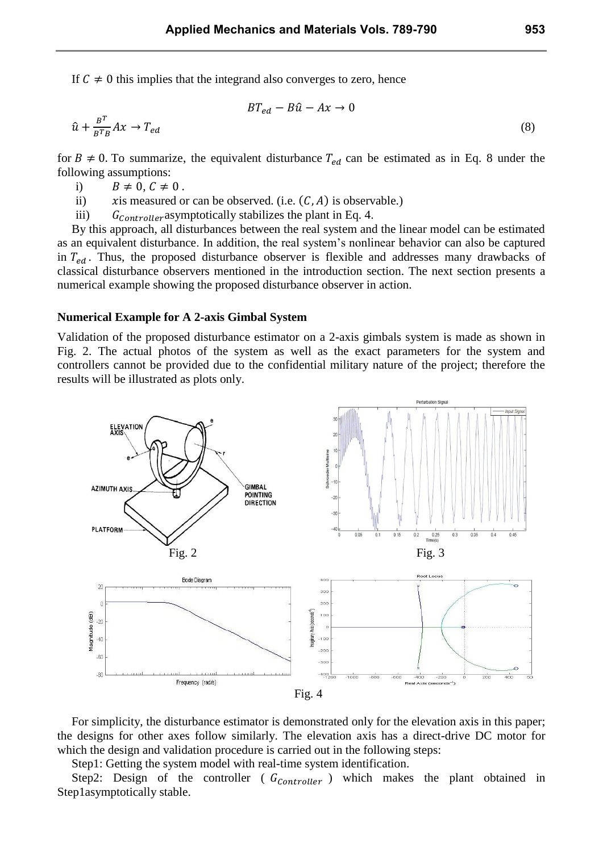If  $C \neq 0$  this implies that the integrand also converges to zero, hence

$$
BT_{ed} - B\hat{u} - Ax \to 0
$$
  

$$
Ax \to T_{ed}
$$
 (8)

for  $B \neq 0$ . To summarize, the equivalent disturbance  $T_{ed}$  can be estimated as in Eq. 8 under the following assumptions:

i)  $B \neq 0, C \neq 0$ .

 $\hat{u} + \frac{B^T}{B^T}$ B

- ii)  $xi$  is measured or can be observed. (i.e.  $(C, A)$  is observable.)
- iii)  $G_{Controller}$  asymptotically stabilizes the plant in Eq. 4.

By this approach, all disturbances between the real system and the linear model can be estimated as an equivalent disturbance. In addition, the real system's nonlinear behavior can also be captured in  $T_{ed}$ . Thus, the proposed disturbance observer is flexible and addresses many drawbacks of classical disturbance observers mentioned in the introduction section. The next section presents a numerical example showing the proposed disturbance observer in action.

#### **Numerical Example for A 2-axis Gimbal System**

Validation of the proposed disturbance estimator on a 2-axis gimbals system is made as shown in Fig. 2. The actual photos of the system as well as the exact parameters for the system and controllers cannot be provided due to the confidential military nature of the project; therefore the results will be illustrated as plots only.



For simplicity, the disturbance estimator is demonstrated only for the elevation axis in this paper; the designs for other axes follow similarly. The elevation axis has a direct-drive DC motor for which the design and validation procedure is carried out in the following steps:

Step1: Getting the system model with real-time system identification.

Step2: Design of the controller ( $G_{\text{Contract}}$ ) which makes the plant obtained in Step1asymptotically stable.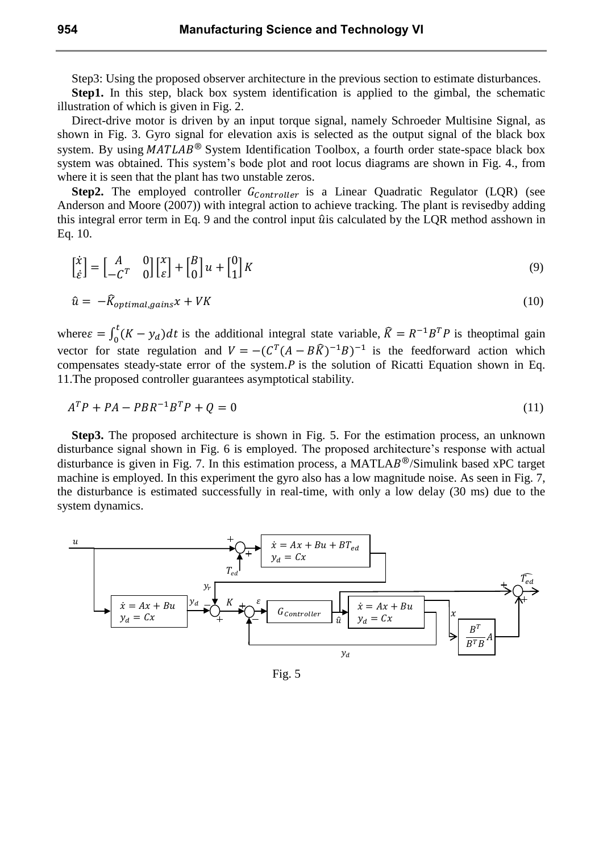Step3: Using the proposed observer architecture in the previous section to estimate disturbances.

Step1. In this step, black box system identification is applied to the gimbal, the schematic illustration of which is given in Fig. 2.

Direct-drive motor is driven by an input torque signal, namely Schroeder Multisine Signal, as shown in Fig. 3. Gyro signal for elevation axis is selected as the output signal of the black box system. By using  $MATLAB^{\circledR}$  System Identification Toolbox, a fourth order state-space black box system was obtained. This system's bode plot and root locus diagrams are shown in Fig. 4., from where it is seen that the plant has two unstable zeros.

**Step2.** The employed controller  $G_{\text{Contracter}}$  is a Linear Quadratic Regulator (LQR) (see Anderson and Moore (2007)) with integral action to achieve tracking. The plant is revisedby adding this integral error term in Eq. 9 and the control input  $\hat{u}$  is calculated by the LQR method asshown in Eq. 10.

$$
\begin{bmatrix} \dot{x} \\ \dot{\varepsilon} \end{bmatrix} = \begin{bmatrix} A & 0 \\ -C^T & 0 \end{bmatrix} \begin{bmatrix} x \\ \varepsilon \end{bmatrix} + \begin{bmatrix} B \\ 0 \end{bmatrix} u + \begin{bmatrix} 0 \\ 1 \end{bmatrix} K \tag{9}
$$

$$
\hat{u} = -\hat{K}_{optimal, gains}x + VK \tag{10}
$$

where  $\varepsilon = \int_0^1 (K - y_d) dt$  is the additional integral state variable,  $\hat{K} = R^{-1}B^T P$  is the optimal gain vector for state regulation and  $V = -(C^T(A - B\hat{K})^{-1}B)^{-1}$  is the feedforward action which compensates steady-state error of the system.  $\overline{P}$  is the solution of Ricatti Equation shown in Eq. 11.The proposed controller guarantees asymptotical stability.

$$
ATP + PA - PBR-1BTP + Q = 0
$$
\n(11)

**Step3.** The proposed architecture is shown in Fig. 5. For the estimation process, an unknown disturbance signal shown in Fig. 6 is employed. The proposed architecture's response with actual disturbance is given in Fig. 7. In this estimation process, a MATLA $B^{\circledR}/S$ imulink based xPC target machine is employed. In this experiment the gyro also has a low magnitude noise. As seen in Fig. 7, the disturbance is estimated successfully in real-time, with only a low delay (30 ms) due to the system dynamics.



Fig. 5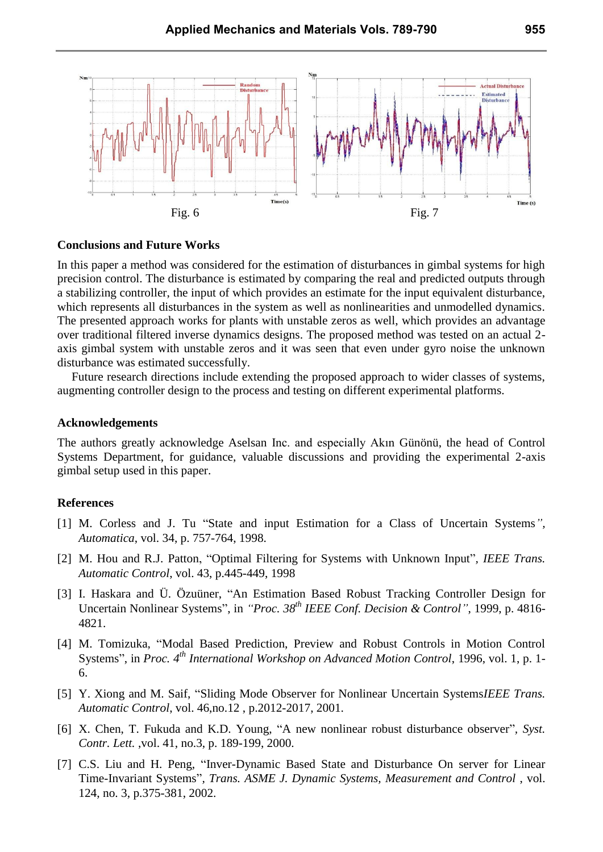

#### **Conclusions and Future Works**

In this paper a method was considered for the estimation of disturbances in gimbal systems for high precision control. The disturbance is estimated by comparing the real and predicted outputs through a stabilizing controller, the input of which provides an estimate for the input equivalent disturbance, which represents all disturbances in the system as well as nonlinearities and unmodelled dynamics. The presented approach works for plants with unstable zeros as well, which provides an advantage over traditional filtered inverse dynamics designs. The proposed method was tested on an actual 2 axis gimbal system with unstable zeros and it was seen that even under gyro noise the unknown disturbance was estimated successfully.

Future research directions include extending the proposed approach to wider classes of systems, augmenting controller design to the process and testing on different experimental platforms.

#### **Acknowledgements**

The authors greatly acknowledge Aselsan Inc. and especially Akın Günönü, the head of Control Systems Department, for guidance, valuable discussions and providing the experimental 2-axis gimbal setup used in this paper.

### **References**

- [1] M. Corless and J. Tu "State and input Estimation for a Class of Uncertain Systems*", Automatica*, vol. 34, p. 757-764, 1998.
- [2] M. Hou and R.J. Patton, "Optimal Filtering for Systems with Unknown Input"*, IEEE Trans. Automatic Control*, vol. 43, p.445-449, 1998
- [3] I. Haskara and Ü. Özuüner, "An Estimation Based Robust Tracking Controller Design for Uncertain Nonlinear Systems", in *"Proc. 38th IEEE Conf. Decision & Control"*, 1999, p. 4816- 4821.
- [4] M. Tomizuka, "Modal Based Prediction, Preview and Robust Controls in Motion Control Systems", in *Proc. 4th International Workshop on Advanced Motion Control*, 1996, vol. 1, p. 1- 6.
- [5] Y. Xiong and M. Saif, "Sliding Mode Observer for Nonlinear Uncertain Systems*IEEE Trans. Automatic Control*, vol. 46,no.12 , p.2012-2017, 2001.
- [6] X. Chen, T. Fukuda and K.D. Young, "A new nonlinear robust disturbance observer"*, Syst. Contr. Lett.* ,vol. 41, no.3, p. 189-199, 2000.
- [7] C.S. Liu and H. Peng, "Inver-Dynamic Based State and Disturbance On server for Linear Time-Invariant Systems"*, Trans. ASME J. Dynamic Systems, Measurement and Control* , vol. 124, no. 3, p.375-381, 2002.